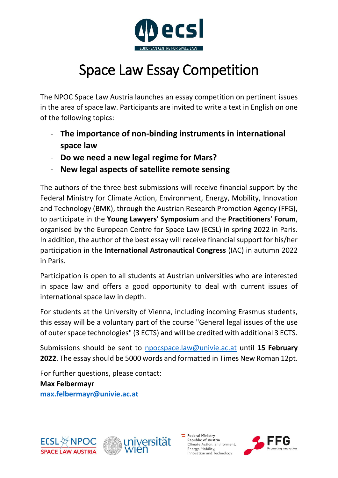

## Space Law Essay Competition

The NPOC Space Law Austria launches an essay competition on pertinent issues in the area of space law. Participants are invited to write a text in English on one of the following topics:

- **The importance of non-binding instruments in international space law**
- **Do we need a new legal regime for Mars?**
- **New legal aspects of satellite remote sensing**

The authors of the three best submissions will receive financial support by the Federal Ministry for Climate Action, Environment, Energy, Mobility, Innovation and Technology (BMK), through the Austrian Research Promotion Agency (FFG), to participate in the **Young Lawyers' Symposium** and the **Practitioners' Forum**, organised by the European Centre for Space Law (ECSL) in spring 2022 in Paris. In addition, the author of the best essay will receive financial support for his/her participation in the **International Astronautical Congress** (IAC) in autumn 2022 in Paris.

Participation is open to all students at Austrian universities who are interested in space law and offers a good opportunity to deal with current issues of international space law in depth.

For students at the University of Vienna, including incoming Erasmus students, this essay will be a voluntary part of the course "General legal issues of the use of outer space technologies" (3 ECTS) and will be credited with additional 3 ECTS.

Submissions should be sent to [npocspace.law@univie.ac.at](mailto:npocspace.law@univie.ac.at) until **15 February 2022**. The essay should be 5000 words and formatted in Times New Roman 12pt.

For further questions, please contact:

**Max Felbermayr [max.felbermayr@univie.ac.at](mailto:max.felbermayr@univie.ac.at)**





 $\equiv$  Federal Ministry Republic of Austria Climate Action, Environment, Energy, Mobility,<br>Innovation and Technology